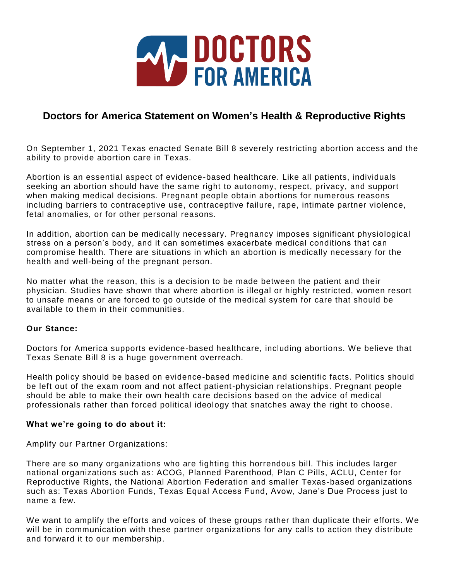

# **Doctors for America Statement on Women's Health & Reproductive Rights**

On September 1, 2021 Texas enacted Senate Bill 8 severely restricting abortion access and the ability to provide abortion care in Texas.

Abortion is an essential aspect of evidence-based healthcare. Like all patients, individuals seeking an abortion should have the same right to autonomy, respect, privacy, and support when making medical decisions. Pregnant people obtain abortions for numerous reasons including barriers to contraceptive use, contraceptive failure, rape, intimate partner violence, fetal anomalies, or for other personal reasons.

In addition, abortion can be medically necessary. Pregnancy imposes significant physiological stress on a person's body, and it can sometimes exacerbate medical conditions that can compromise health. There are situations in which an abortion is medically necessary for the health and well-being of the pregnant person.

No matter what the reason, this is a decision to be made between the patient and their physician. Studies have shown that where abortion is illegal or highly restricted, women resort to unsafe means or are forced to go outside of the medical system for care that should be available to them in their communities.

### **Our Stance:**

Doctors for America supports evidence-based healthcare, including abortions. We believe that Texas Senate Bill 8 is a huge government overreach.

Health policy should be based on evidence-based medicine and scientific facts. Politics should be left out of the exam room and not affect patient-physician relationships. Pregnant people should be able to make their own health care decisions based on the advice of medical professionals rather than forced political ideology that snatches away the right to choose.

### **What we're going to do about it:**

Amplify our Partner Organizations:

There are so many organizations who are fighting this horrendous bill. This includes larger national organizations such as: ACOG, Planned Parenthood, Plan C Pills, ACLU, Center for Reproductive Rights, the National Abortion Federation and smaller Texas -based organizations such as: Texas Abortion Funds, Texas Equal Access Fund, Avow, Jane's Due Process just to name a few.

We want to amplify the efforts and voices of these groups rather than duplicate their efforts. We will be in communication with these partner organizations for any calls to action they distribute and forward it to our membership.